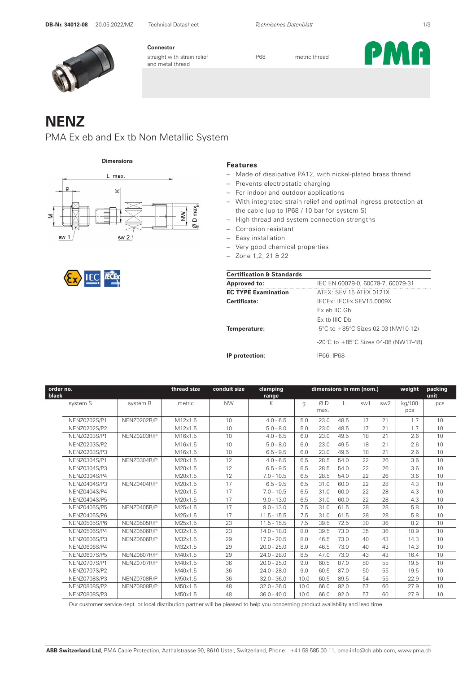

**Connector** straight with strain relief **IP68** metric thread and metal thread

PMA

# **NENZ**

#### PMA Ex eb and Ex tb Non Metallic System

**Dimensions Features** 



- Made of dissipative PA12, with nickel-plated brass thread
- Prevents electrostatic charging
- For indoor and outdoor applications
- With integrated strain relief and optimal ingress protection at the cable (up to IP68 / 10 bar for system S)
- High thread and system connection strengths
- Corrosion resistant
- Easy installation
- Very good chemical properties
- Zone 1,2, 21 & 22

|--|--|--|

| <b>Certification &amp; Standards</b> |                                                          |
|--------------------------------------|----------------------------------------------------------|
| <b>Approved to:</b>                  | IEC EN 60079-0, 60079-7, 60079-31                        |
| <b>EC TYPE Examination</b>           | ATEX: SEV 15 ATEX 0121X                                  |
| Certificate:                         | IFCEX: IFCEX SEV15 0009X                                 |
|                                      | Ex eb IIC Gb                                             |
|                                      | $Fx$ th IIIC $Dh$                                        |
| Temperature:                         | $-5^{\circ}$ C to $+85^{\circ}$ C Sizes 02-03 (NW10-12)  |
|                                      | -20 $\degree$ C to +85 $\degree$ C Sizes 04-08 (NW17-48) |
| IP protection:                       | IP66, IP68                                               |

| order no.<br>black |                     |             | thread size | conduit size | clamping<br>range | dimensions in mm (nom.) |            |      | weight | packing<br>unit |               |     |
|--------------------|---------------------|-------------|-------------|--------------|-------------------|-------------------------|------------|------|--------|-----------------|---------------|-----|
|                    | system S            | system R    | metric      | <b>NW</b>    | Κ                 | g                       | ØD<br>max. | L    | sw1    | sw <sub>2</sub> | kg/100<br>pcs | pcs |
|                    | NENZ0202S/P1        | NENZ0202R/P | M12x1.5     | 10           | $4.0 - 6.5$       | 5.0                     | 23.0       | 48.5 | 17     | 21              | 1.7           | 10  |
|                    | NENZ0202S/P2        |             | M12x1.5     | 10           | $5.0 - 8.0$       | 5.0                     | 23.0       | 48.5 | 17     | 21              | 1.7           | 10  |
|                    | NENZ0203S/P1        | NENZ0203R/P | M16x1.5     | 10           | $4.0 - 6.5$       | 6.0                     | 23.0       | 49.5 | 18     | 21              | 2.6           | 10  |
|                    | NENZ0203S/P2        |             | M16x1.5     | 10           | $5.0 - 8.0$       | 6.0                     | 23.0       | 49.5 | 18     | 21              | 2.6           | 10  |
|                    | NENZ0203S/P3        |             | M16x1.5     | 10           | $6.5 - 9.5$       | 6.0                     | 23.0       | 49.5 | 18     | 21              | 2.6           | 10  |
|                    | NENZ0304S/P1        | NENZ0304R/P | M20x1.5     | 12           | $4.0 - 6.5$       | 6.5                     | 28.5       | 54.0 | 22     | 26              | 3.6           | 10  |
|                    | NENZ0304S/P3        |             | M20x1.5     | 12           | $6.5 - 9.5$       | 6.5                     | 28.5       | 54.0 | 22     | 26              | 3.6           | 10  |
|                    | NENZ0304S/P4        |             | M20x1.5     | 12           | $7.0 - 10.5$      | 6.5                     | 28.5       | 54.0 | 22     | 26              | 3.6           | 10  |
|                    | NENZ0404S/P3        | NENZ0404R/P | M20x1.5     | 17           | $6.5 - 9.5$       | 6.5                     | 31.0       | 60.0 | 22     | 28              | 4.3           | 10  |
|                    | NENZ0404S/P4        |             | M20x1.5     | 17           | $7.0 - 10.5$      | 6.5                     | 31.0       | 60.0 | 22     | 28              | 4.3           | 10  |
|                    | <b>NENZ0404S/P5</b> |             | M20x1.5     | 17           | $9.0 - 13.0$      | 6.5                     | 31.0       | 60.0 | 22     | 28              | 4.3           | 10  |
|                    | <b>NENZ0405S/P5</b> | NENZ0405R/P | M25x1.5     | 17           | $9.0 - 13.0$      | 7.5                     | 31.0       | 61.5 | 28     | 28              | 5.8           | 10  |
|                    | NENZ0405S/P6        |             | M25x1.5     | 17           | $11.5 - 15.5$     | 7.5                     | 31.0       | 61.5 | 28     | 28              | 5.8           | 10  |
|                    | NENZ0505S/P6        | NENZ0505R/P | M25x1.5     | 23           | $11.5 - 15.5$     | 7.5                     | 39.5       | 72.5 | 30     | 36              | 8.2           | 10  |
|                    | NENZ0506S/P4        | NENZ0506R/P | M32x1.5     | 23           | $14.0 - 18.0$     | 8.0                     | 39.5       | 73.0 | 35     | 36              | 10.9          | 10  |
|                    | NENZ0606S/P3        | NENZ0606R/P | M32x1.5     | 29           | $17.0 - 20.5$     | 8.0                     | 46.5       | 73.0 | 40     | 43              | 14.3          | 10  |
|                    | NENZ0606S/P4        |             | M32x1.5     | 29           | $20.0 - 25.0$     | 8.0                     | 46.5       | 73.0 | 40     | 43              | 14.3          | 10  |
|                    | <b>NENZ0607S/P5</b> | NENZ0607R/P | M40x1.5     | 29           | $24.0 - 28.0$     | 8.5                     | 47.0       | 73.0 | 43     | 43              | 16.4          | 10  |
|                    | NENZ0707S/P1        | NENZ0707R/P | M40x1.5     | 36           | $20.0 - 25.0$     | 9.0                     | 60.5       | 87.0 | 50     | 55              | 19.5          | 10  |
|                    | NENZ0707S/P2        |             | M40x1.5     | 36           | $24.0 - 28.0$     | 9.0                     | 60.5       | 87.0 | 50     | 55              | 19.5          | 10  |
|                    | NENZ0708S/P3        | NENZ0708R/P | M50x1.5     | 36           | $32.0 - 36.0$     | 10.0                    | 60.5       | 89.5 | 54     | 55              | 22.9          | 10  |
|                    | NENZ0808S/P2        | NENZ0808R/P | M50x1.5     | 48           | $32.0 - 36.0$     | 10.0                    | 66.0       | 92.0 | 57     | 60              | 27.9          | 10  |
|                    | NENZ0808S/P3        |             | M50x1.5     | 48           | $36.0 - 40.0$     | 10.0                    | 66.0       | 92.0 | 57     | 60              | 27.9          | 10  |

Our customer service dept. or local distribution partner will be pleased to help you concerning product availability and lead time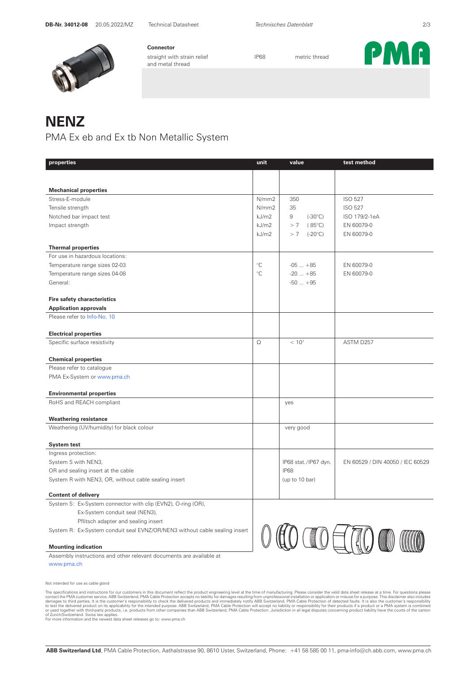

**Connector** straight with strain relief **IP68** metric thread and metal thread



### **NENZ**

PMA Ex eb and Ex tb Non Metallic System

| properties                                                                 | unit            | value                   | test method                      |
|----------------------------------------------------------------------------|-----------------|-------------------------|----------------------------------|
|                                                                            |                 |                         |                                  |
|                                                                            |                 |                         |                                  |
| <b>Mechanical properties</b>                                               |                 |                         |                                  |
| Stress-E-module                                                            | N/mm2           | 350                     | <b>ISO 527</b>                   |
| Tensile strength                                                           | N/mm2           | 35                      | <b>ISO 527</b>                   |
| Notched bar impact test                                                    | kJ/m2           | 9<br>$(-30^{\circ}C)$   | ISO 179/2-1eA                    |
| Impact strength                                                            | kJ/m2           | > 7<br>$(85^{\circ}C)$  | EN 60079-0                       |
|                                                                            | kJ/m2           | > 7<br>$(-20^{\circ}C)$ | EN 60079-0                       |
| <b>Thermal properties</b>                                                  |                 |                         |                                  |
| For use in hazardous locations:                                            |                 |                         |                                  |
| Temperature range sizes 02-03                                              | $\rm ^{\circ}C$ | $-05+85$                | EN 60079-0                       |
| Temperature range sizes 04-08                                              | $^{\circ}$ C    | $-20+85$                | EN 60079-0                       |
| General:                                                                   |                 | $-50+95$                |                                  |
|                                                                            |                 |                         |                                  |
| <b>Fire safety characteristics</b>                                         |                 |                         |                                  |
| <b>Application approvals</b>                                               |                 |                         |                                  |
| Please refer to Info-No. 10                                                |                 |                         |                                  |
| <b>Electrical properties</b>                                               |                 |                         |                                  |
| Specific surface resistivity                                               | Ω               | $< 10^{7}$              | ASTM D257                        |
|                                                                            |                 |                         |                                  |
| <b>Chemical properties</b>                                                 |                 |                         |                                  |
| Please refer to catalogue                                                  |                 |                         |                                  |
| PMA Ex-System or www.pma.ch                                                |                 |                         |                                  |
|                                                                            |                 |                         |                                  |
| <b>Environmental properties</b>                                            |                 |                         |                                  |
| RoHS and REACH compliant                                                   |                 | yes                     |                                  |
|                                                                            |                 |                         |                                  |
| <b>Weathering resistance</b><br>Weathering (UV/humidity) for black colour  |                 | very good               |                                  |
|                                                                            |                 |                         |                                  |
| <b>System test</b>                                                         |                 |                         |                                  |
| Ingress protection:                                                        |                 |                         |                                  |
| System S with NEN3,                                                        |                 | IP68 stat./IP67 dyn.    | EN 60529 / DIN 40050 / IEC 60529 |
| OR and sealing insert at the cable                                         |                 | <b>IP68</b>             |                                  |
| System R with NEN3, OR, without cable sealing insert                       |                 | (up to 10 bar)          |                                  |
|                                                                            |                 |                         |                                  |
| <b>Content of delivery</b>                                                 |                 |                         |                                  |
| System S: Ex-System connector with clip (EVN2), O-ring (OR),               |                 |                         |                                  |
| Ex-System conduit seal (NEN3),                                             |                 |                         |                                  |
| Pflitsch adapter and sealing insert                                        |                 |                         |                                  |
| System R: Ex-System conduit seal EVNZ/OR/NEN3 without cable sealing insert |                 |                         |                                  |
| <b>Mounting indication</b>                                                 |                 |                         |                                  |
|                                                                            |                 |                         |                                  |

Assembly instructions and other relevant documents are available at www.pma.ch

Not intended for use as cable gland

The specifications and instructions for our customers in this document reflect the product regineering level at the item of manufacturing. Please consider the valid data sheet releases at a time. For questions and instruct